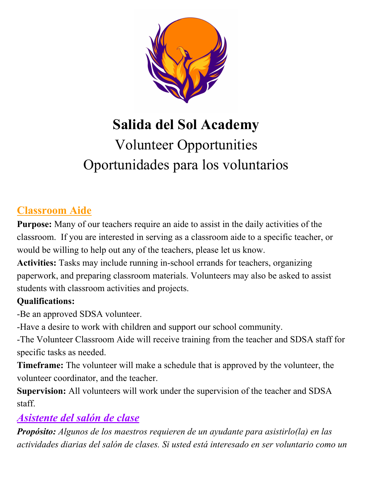

# **Salida del Sol Academy** Volunteer Opportunities Oportunidades para los voluntarios

## **Classroom Aide**

**Purpose:** Many of our teachers require an aide to assist in the daily activities of the classroom. If you are interested in serving as a classroom aide to a specific teacher, or would be willing to help out any of the teachers, please let us know.

**Activities:** Tasks may include running in-school errands for teachers, organizing paperwork, and preparing classroom materials. Volunteers may also be asked to assist students with classroom activities and projects.

#### **Qualifications:**

-Be an approved SDSA volunteer.

-Have a desire to work with children and support our school community.

-The Volunteer Classroom Aide will receive training from the teacher and SDSA staff for specific tasks as needed.

**Timeframe:** The volunteer will make a schedule that is approved by the volunteer, the volunteer coordinator, and the teacher.

**Supervision:** All volunteers will work under the supervision of the teacher and SDSA staff.

## *Asistente del salón de clase*

*Propósito: Algunos de los maestros requieren de un ayudante para asistirlo(la) en las actividades diarias del salón de clases. Si usted está interesado en ser voluntario como un*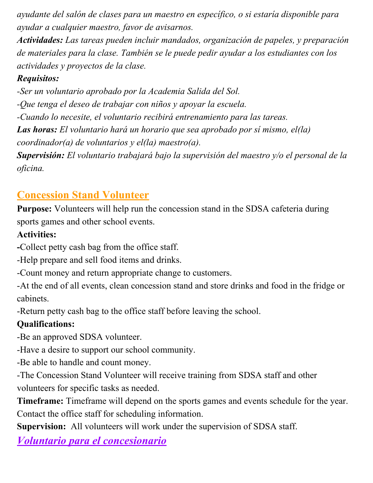*ayudante del salón de clases para un maestro en específico, o si estaría disponible para ayudar a cualquier maestro, favor de avisarnos.*

*Actividades: Las tareas pueden incluir mandados, organización de papeles, y preparación de materiales para la clase. También se le puede pedir ayudar a los estudiantes con los actividades y proyectos de la clase.*

#### *Requisitos:*

*-Ser un voluntario aprobado por la Academia Salida del Sol. -Que tenga el deseo de trabajar con niños y apoyar la escuela. -Cuando lo necesite, el voluntario recibirá entrenamiento para las tareas. Las horas: El voluntario hará un horario que sea aprobado por sí mismo, el(la) coordinador(a) de voluntarios y el(la) maestro(a). Supervisión: El voluntario trabajará bajo la supervisión del maestro y/o el personal de la oficina.*

## **Concession Stand Volunteer**

**Purpose:** Volunteers will help run the concession stand in the SDSA cafeteria during sports games and other school events.

### **Activities:**

**-**Collect petty cash bag from the office staff.

-Help prepare and sell food items and drinks.

-Count money and return appropriate change to customers.

-At the end of all events, clean concession stand and store drinks and food in the fridge or cabinets.

-Return petty cash bag to the office staff before leaving the school.

## **Qualifications:**

-Be an approved SDSA volunteer.

-Have a desire to support our school community.

-Be able to handle and count money.

-The Concession Stand Volunteer will receive training from SDSA staff and other volunteers for specific tasks as needed.

**Timeframe:** Timeframe will depend on the sports games and events schedule for the year. Contact the office staff for scheduling information.

**Supervision:** All volunteers will work under the supervision of SDSA staff.

*Voluntario para el concesionario*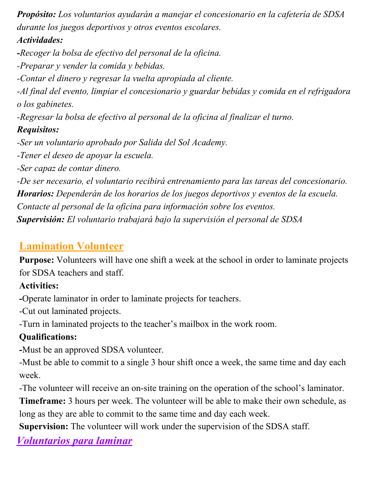*Propósito: Los voluntarios ayudarán a manejar el concesionario en la cafetería de SDSA durante los juegos deportivos y otros eventos escolares.*

#### *Actividades:*

*-Recoger la bolsa de efectivo del personal de la oficina. -Preparar y vender la comida y bebidas.*

*-Contar el dinero y regresar la vuelta apropiada al cliente.*

*-Al final del evento, limpiar el concesionario y guardar bebidas y comida en el refrigadora o los gabinetes.*

*-Regresar la bolsa de efectivo al personal de la oficina al finalizar el turno.*

### *Requisitos:*

*-Ser un voluntario aprobado por Salida del Sol Academy.*

*-Tener el deseo de apoyar la escuela.*

*-Ser capaz de contar dinero.*

*-De ser necesario, el voluntario recibirá entrenamiento para las tareas del concesionario. Horarios: Dependerán de los horarios de los juegos deportivos y eventos de la escuela. Contacte al personal de la oficina para información sobre los eventos. Supervisión: El voluntario trabajará bajo la supervisión el personal de SDSA*

## **Lamination Volunteer**

**Purpose:** Volunteers will have one shift a week at the school in order to laminate projects for SDSA teachers and staff.

## **Activities:**

**-**Operate laminator in order to laminate projects for teachers.

-Cut out laminated projects.

-Turn in laminated projects to the teacher's mailbox in the work room.

## **Qualifications:**

**-**Must be an approved SDSA volunteer.

-Must be able to commit to a single 3 hour shift once a week, the same time and day each week.

-The volunteer will receive an on-site training on the operation of the school's laminator.

**Timeframe:** 3 hours per week. The volunteer will be able to make their own schedule, as long as they are able to commit to the same time and day each week.

**Supervision:** The volunteer will work under the supervision of the SDSA staff.

*Voluntarios para laminar*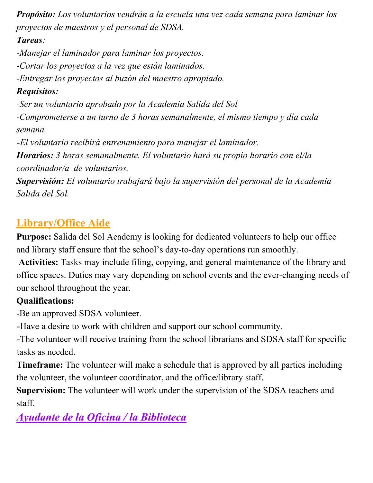*Propósito: Los voluntarios vendrán a la escuela una vez cada semana para laminar los proyectos de maestros y el personal de SDSA.*

### *Tareas:*

*-Manejar el laminador para laminar los proyectos.*

*-Cortar los proyectos a la vez que están laminados.*

*-Entregar los proyectos al buzón del maestro apropiado.*

## *Requisitos:*

*-Ser un voluntario aprobado por la Academia Salida del Sol*

*-Comprometerse a un turno de 3 horas semanalmente, el mismo tiempo y día cada semana.*

*-El voluntario recibirá entrenamiento para manejar el laminador.*

*Horarios: 3 horas semanalmente. El voluntario hará su propio horario con el/la coordinador/a de voluntarios.*

*Supervisión: El voluntario trabajará bajo la supervisión del personal de la Academia Salida del Sol.*

## **Library/Office Aide**

**Purpose:** Salida del Sol Academy is looking for dedicated volunteers to help our office and library staff ensure that the school's day-to-day operations run smoothly.

 **Activities:** Tasks may include filing, copying, and general maintenance of the library and office spaces. Duties may vary depending on school events and the ever-changing needs of our school throughout the year.

## **Qualifications:**

-Be an approved SDSA volunteer.

-Have a desire to work with children and support our school community.

-The volunteer will receive training from the school librarians and SDSA staff for specific tasks as needed.

**Timeframe:** The volunteer will make a schedule that is approved by all parties including the volunteer, the volunteer coordinator, and the office/library staff.

**Supervision:** The volunteer will work under the supervision of the SDSA teachers and staff.

## *Ayudante de la Oficina / la Biblioteca*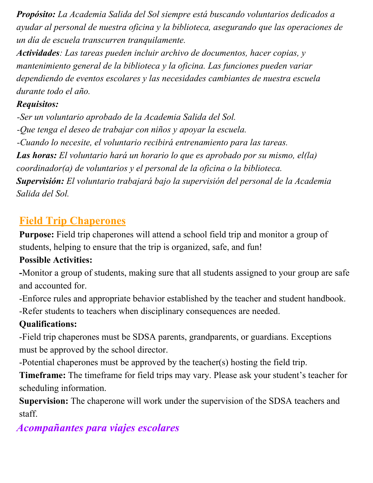*Propósito: La Academia Salida del Sol siempre está buscando voluntarios dedicados a ayudar al personal de nuestra oficina y la biblioteca, asegurando que las operaciones de un día de escuela transcurren tranquilamente.*

*Actividades: Las tareas pueden incluir archivo de documentos, hacer copias, y mantenimiento general de la biblioteca y la oficina. Las funciones pueden variar dependiendo de eventos escolares y las necesidades cambiantes de nuestra escuela durante todo el año.*

### *Requisitos:*

*-Ser un voluntario aprobado de la Academia Salida del Sol. -Que tenga el deseo de trabajar con niños y apoyar la escuela. -Cuando lo necesite, el voluntario recibirá entrenamiento para las tareas. Las horas: El voluntario hará un horario lo que es aprobado por su mismo, el(la) coordinador(a) de voluntarios y el personal de la oficina o la biblioteca. Supervisión: El voluntario trabajará bajo la supervisión del personal de la Academia Salida del Sol.*

## **Field Trip Chaperones**

**Purpose:** Field trip chaperones will attend a school field trip and monitor a group of students, helping to ensure that the trip is organized, safe, and fun!

## **Possible Activities:**

**-**Monitor a group of students, making sure that all students assigned to your group are safe and accounted for.

-Enforce rules and appropriate behavior established by the teacher and student handbook. -Refer students to teachers when disciplinary consequences are needed.

## **Qualifications:**

-Field trip chaperones must be SDSA parents, grandparents, or guardians. Exceptions must be approved by the school director.

-Potential chaperones must be approved by the teacher(s) hosting the field trip.

**Timeframe:** The timeframe for field trips may vary. Please ask your student's teacher for scheduling information.

**Supervision:** The chaperone will work under the supervision of the SDSA teachers and staff.

## *Acompañantes para viajes escolares*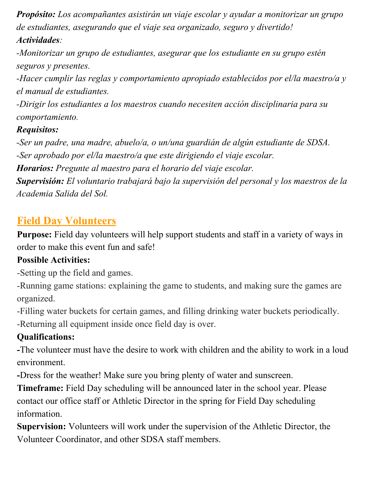*Propósito: Los acompañantes asistirán un viaje escolar y ayudar a monitorizar un grupo de estudiantes, asegurando que el viaje sea organizado, seguro y divertido! Actividades:*

*-Monitorizar un grupo de estudiantes, asegurar que los estudiante en su grupo estén seguros y presentes.*

*-Hacer cumplir las reglas y comportamiento apropiado establecidos por el/la maestro/a y el manual de estudiantes.*

*-Dirigir los estudiantes a los maestros cuando necesiten acción disciplinaria para su comportamiento.*

#### *Requisitos:*

*-Ser un padre, una madre, abuelo/a, o un/una guardián de algún estudiante de SDSA. -Ser aprobado por el/la maestro/a que este dirigiendo el viaje escolar.*

*Horarios: Pregunte al maestro para el horario del viaje escolar.*

*Supervisión: El voluntario trabajará bajo la supervisión del personal y los maestros de la Academia Salida del Sol.*

## **Field Day Volunteers**

**Purpose:** Field day volunteers will help support students and staff in a variety of ways in order to make this event fun and safe!

#### **Possible Activities:**

-Setting up the field and games.

-Running game stations: explaining the game to students, and making sure the games are organized.

-Filling water buckets for certain games, and filling drinking water buckets periodically. -Returning all equipment inside once field day is over.

## **Qualifications:**

**-**The volunteer must have the desire to work with children and the ability to work in a loud environment.

**-**Dress for the weather! Make sure you bring plenty of water and sunscreen.

**Timeframe:** Field Day scheduling will be announced later in the school year. Please contact our office staff or Athletic Director in the spring for Field Day scheduling information.

**Supervision:** Volunteers will work under the supervision of the Athletic Director, the Volunteer Coordinator, and other SDSA staff members.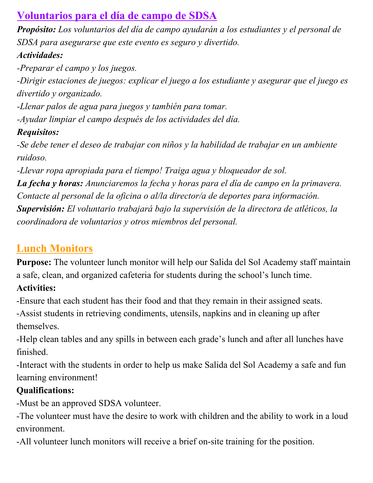## **Voluntarios para el día de campo de SDSA**

*Propósito: Los voluntarios del día de campo ayudarán a los estudiantes y el personal de SDSA para asegurarse que este evento es seguro y divertido.*

## *Actividades:*

*-Preparar el campo y los juegos.*

*-Dirigir estaciones de juegos: explicar el juego a los estudiante y asegurar que el juego es divertido y organizado.*

*-Llenar palos de agua para juegos y también para tomar.*

*-Ayudar limpiar el campo después de los actividades del día.*

## *Requisitos:*

*-Se debe tener el deseo de trabajar con niños y la habilidad de trabajar en un ambiente ruidoso.*

*-Llevar ropa apropiada para el tiempo! Traiga agua y bloqueador de sol.*

*La fecha y horas: Anunciaremos la fecha y horas para el día de campo en la primavera. Contacte al personal de la oficina o al/la director/a de deportes para información. Supervisión: El voluntario trabajará bajo la supervisión de la directora de atléticos, la coordinadora de voluntarios y otros miembros del personal.*

## **Lunch Monitors**

**Purpose:** The volunteer lunch monitor will help our Salida del Sol Academy staff maintain a safe, clean, and organized cafeteria for students during the school's lunch time.

## **Activities:**

-Ensure that each student has their food and that they remain in their assigned seats.

-Assist students in retrieving condiments, utensils, napkins and in cleaning up after themselves.

-Help clean tables and any spills in between each grade's lunch and after all lunches have finished.

-Interact with the students in order to help us make Salida del Sol Academy a safe and fun learning environment!

## **Qualifications:**

-Must be an approved SDSA volunteer.

-The volunteer must have the desire to work with children and the ability to work in a loud environment.

-All volunteer lunch monitors will receive a brief on-site training for the position.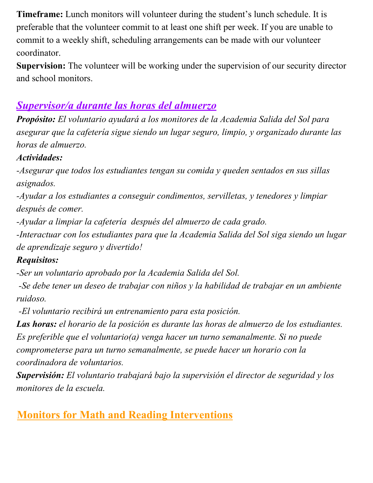**Timeframe:** Lunch monitors will volunteer during the student's lunch schedule. It is preferable that the volunteer commit to at least one shift per week. If you are unable to commit to a weekly shift, scheduling arrangements can be made with our volunteer coordinator.

**Supervision:** The volunteer will be working under the supervision of our security director and school monitors.

## *Supervisor/a durante las horas del almuerzo*

*Propósito: El voluntario ayudará a los monitores de la Academia Salida del Sol para asegurar que la cafetería sigue siendo un lugar seguro, limpio, y organizado durante las horas de almuerzo.*

#### *Actividades:*

*-Asegurar que todos los estudiantes tengan su comida y queden sentados en sus sillas asignados.*

*-Ayudar a los estudiantes a conseguir condimentos, servilletas, y tenedores y limpiar después de comer.*

*-Ayudar a limpiar la cafetería después del almuerzo de cada grado.*

*-Interactuar con los estudiantes para que la Academia Salida del Sol siga siendo un lugar de aprendizaje seguro y divertido!*

### *Requisitos:*

*-Ser un voluntario aprobado por la Academia Salida del Sol.*

 *-Se debe tener un deseo de trabajar con niños y la habilidad de trabajar en un ambiente ruidoso.*

 *-El voluntario recibirá un entrenamiento para esta posición.*

*Las horas: el horario de la posición es durante las horas de almuerzo de los estudiantes. Es preferible que el voluntario(a) venga hacer un turno semanalmente. Si no puede comprometerse para un turno semanalmente, se puede hacer un horario con la coordinadora de voluntarios.*

*Supervisión: El voluntario trabajará bajo la supervisión el director de seguridad y los monitores de la escuela.*

## **Monitors for Math and Reading Interventions**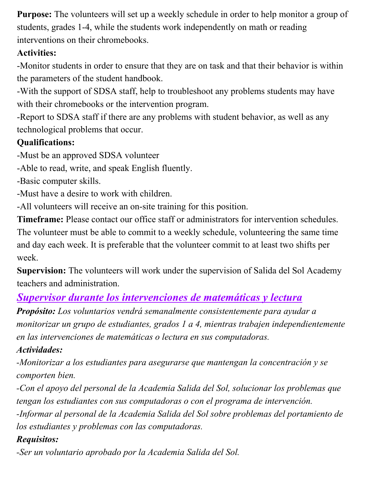**Purpose:** The volunteers will set up a weekly schedule in order to help monitor a group of students, grades 1-4, while the students work independently on math or reading interventions on their chromebooks.

### **Activities:**

-Monitor students in order to ensure that they are on task and that their behavior is within the parameters of the student handbook.

-With the support of SDSA staff, help to troubleshoot any problems students may have with their chromebooks or the intervention program.

-Report to SDSA staff if there are any problems with student behavior, as well as any technological problems that occur.

## **Qualifications:**

-Must be an approved SDSA volunteer

-Able to read, write, and speak English fluently.

-Basic computer skills.

-Must have a desire to work with children.

-All volunteers will receive an on-site training for this position.

**Timeframe:** Please contact our office staff or administrators for intervention schedules. The volunteer must be able to commit to a weekly schedule, volunteering the same time and day each week. It is preferable that the volunteer commit to at least two shifts per week.

**Supervision:** The volunteers will work under the supervision of Salida del Sol Academy teachers and administration.

## *Supervisor durante los intervenciones de matemáticas y lectura*

*Propósito: Los voluntarios vendrá semanalmente consistentemente para ayudar a monitorizar un grupo de estudiantes, grados 1 a 4, mientras trabajen independientemente en las intervenciones de matemáticas o lectura en sus computadoras.*

## *Actividades:*

*-Monitorizar a los estudiantes para asegurarse que mantengan la concentración y se comporten bien.*

*-Con el apoyo del personal de la Academia Salida del Sol, solucionar los problemas que tengan los estudiantes con sus computadoras o con el programa de intervención. -Informar al personal de la Academia Salida del Sol sobre problemas del portamiento de*

*los estudiantes y problemas con las computadoras.*

## *Requisitos:*

*-Ser un voluntario aprobado por la Academia Salida del Sol.*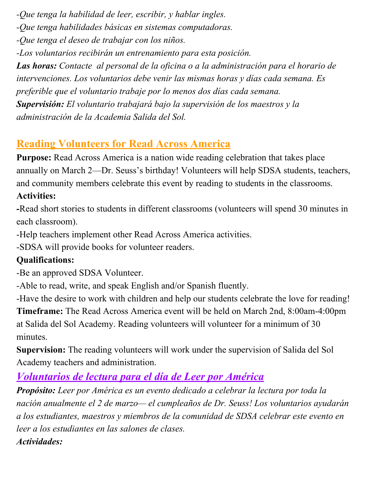*-Que tenga la habilidad de leer, escribir, y hablar ingles.*

*-Que tenga habilidades básicas en sistemas computadoras.*

*-Que tenga el deseo de trabajar con los niños.*

*-Los voluntarios recibirán un entrenamiento para esta posición.*

*Las horas: Contacte al personal de la oficina o a la administración para el horario de intervenciones. Los voluntarios debe venir las mismas horas y días cada semana. Es preferible que el voluntario trabaje por lo menos dos días cada semana. Supervisión: El voluntario trabajará bajo la supervisión de los maestros y la administración de la Academia Salida del Sol.*

## **Reading Volunteers for Read Across America**

**Purpose:** Read Across America is a nation wide reading celebration that takes place annually on March 2—Dr. Seuss's birthday! Volunteers will help SDSA students, teachers, and community members celebrate this event by reading to students in the classrooms.

### **Activities:**

**-**Read short stories to students in different classrooms (volunteers will spend 30 minutes in each classroom).

-Help teachers implement other Read Across America activities.

-SDSA will provide books for volunteer readers.

### **Qualifications:**

-Be an approved SDSA Volunteer.

-Able to read, write, and speak English and/or Spanish fluently.

-Have the desire to work with children and help our students celebrate the love for reading! **Timeframe:** The Read Across America event will be held on March 2nd, 8:00am-4:00pm at Salida del Sol Academy. Reading volunteers will volunteer for a minimum of 30 minutes.

**Supervision:** The reading volunteers will work under the supervision of Salida del Sol Academy teachers and administration.

## *Voluntarios de lectura para el día de Leer por América*

*Propósito: Leer por América es un evento dedicado a celebrar la lectura por toda la nación anualmente el 2 de marzo— el cumpleaños de Dr. Seuss! Los voluntarios ayudarán a los estudiantes, maestros y miembros de la comunidad de SDSA celebrar este evento en leer a los estudiantes en las salones de clases. Actividades:*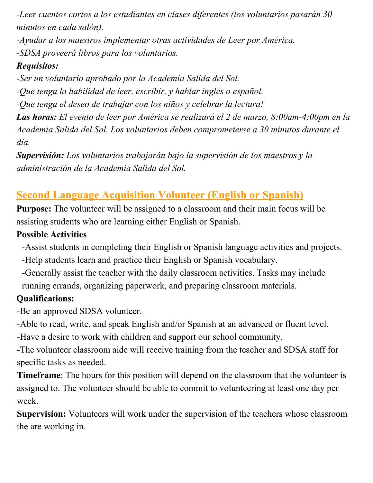*-Leer cuentos cortos a los estudiantes en clases diferentes (los voluntarios pasarán 30 minutos en cada salón).*

*-Ayudar a los maestros implementar otras actividades de Leer por América. -SDSA proveerá libros para los voluntarios.*

### *Requisitos:*

*-Ser un voluntario aprobado por la Academia Salida del Sol. -Que tenga la habilidad de leer, escribir, y hablar inglés o español. -Que tenga el deseo de trabajar con los niños y celebrar la lectura! Las horas: El evento de leer por América se realizará el 2 de marzo, 8:00am-4:00pm en la Academia Salida del Sol. Los voluntarios deben comprometerse a 30 minutos durante el día.*

*Supervisión: Los voluntarios trabajarán bajo la supervisión de los maestros y la administración de la Academia Salida del Sol.*

## **Second Language Acquisition Volunteer (English or Spanish)**

**Purpose:** The volunteer will be assigned to a classroom and their main focus will be assisting students who are learning either English or Spanish.

#### **Possible Activities**

- -Assist students in completing their English or Spanish language activities and projects. -Help students learn and practice their English or Spanish vocabulary.
- -Generally assist the teacher with the daily classroom activities. Tasks may include running errands, organizing paperwork, and preparing classroom materials.

### **Qualifications:**

-Be an approved SDSA volunteer.

-Able to read, write, and speak English and/or Spanish at an advanced or fluent level.

-Have a desire to work with children and support our school community.

-The volunteer classroom aide will receive training from the teacher and SDSA staff for specific tasks as needed.

**Timeframe**: The hours for this position will depend on the classroom that the volunteer is assigned to. The volunteer should be able to commit to volunteering at least one day per week.

**Supervision:** Volunteers will work under the supervision of the teachers whose classroom the are working in.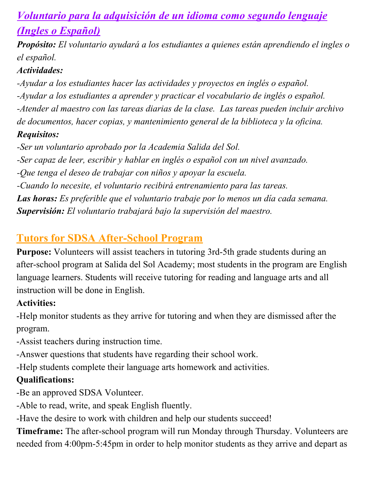## *Voluntario para la adquisición de un idioma como segundo lenguaje (Ingles o Español)*

*Propósito: El voluntario ayudará a los estudiantes a quienes están aprendiendo el ingles o el español.*

#### *Actividades:*

*-Ayudar a los estudiantes hacer las actividades y proyectos en inglés o español. -Ayudar a los estudiantes a aprender y practicar el vocabulario de inglés o español. -Atender al maestro con las tareas diarias de la clase. Las tareas pueden incluir archivo de documentos, hacer copias, y mantenimiento general de la biblioteca y la oficina. Requisitos:*

*-Ser un voluntario aprobado por la Academia Salida del Sol.*

*-Ser capaz de leer, escribir y hablar en inglés o español con un nivel avanzado.*

*-Que tenga el deseo de trabajar con niños y apoyar la escuela.*

*-Cuando lo necesite, el voluntario recibirá entrenamiento para las tareas.*

*Las horas: Es preferible que el voluntario trabaje por lo menos un día cada semana. Supervisión: El voluntario trabajará bajo la supervisión del maestro.*

## **Tutors for SDSA After-School Program**

**Purpose:** Volunteers will assist teachers in tutoring 3rd-5th grade students during an after-school program at Salida del Sol Academy; most students in the program are English language learners. Students will receive tutoring for reading and language arts and all instruction will be done in English.

#### **Activities:**

-Help monitor students as they arrive for tutoring and when they are dismissed after the program.

-Assist teachers during instruction time.

-Answer questions that students have regarding their school work.

-Help students complete their language arts homework and activities.

## **Qualifications:**

-Be an approved SDSA Volunteer.

-Able to read, write, and speak English fluently.

-Have the desire to work with children and help our students succeed!

**Timeframe:** The after-school program will run Monday through Thursday. Volunteers are needed from 4:00pm-5:45pm in order to help monitor students as they arrive and depart as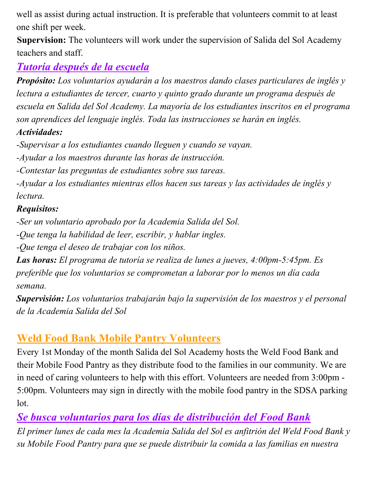well as assist during actual instruction. It is preferable that volunteers commit to at least one shift per week.

**Supervision:** The volunteers will work under the supervision of Salida del Sol Academy teachers and staff.

## *Tutoría después de la escuela*

*Propósito: Los voluntarios ayudarán a los maestros dando clases particulares de inglés y lectura a estudiantes de tercer, cuarto y quinto grado durante un programa después de escuela en Salida del Sol Academy. La mayoría de los estudiantes inscritos en el programa son aprendices del lenguaje inglés. Toda las instrucciones se harán en inglés. Actividades:*

*-Supervisar a los estudiantes cuando lleguen y cuando se vayan.*

*-Ayudar a los maestros durante las horas de instrucción.*

*-Contestar las preguntas de estudiantes sobre sus tareas.*

*-Ayudar a los estudiantes mientras ellos hacen sus tareas y las actividades de inglés y lectura.*

#### *Requisitos:*

*-Ser un voluntario aprobado por la Academia Salida del Sol.*

*-Que tenga la habilidad de leer, escribir, y hablar ingles.*

*-Que tenga el deseo de trabajar con los niños.*

*Las horas: El programa de tutoría se realiza de lunes a jueves, 4:00pm-5:45pm. Es preferible que los voluntarios se comprometan a laborar por lo menos un día cada semana.*

*Supervisión: Los voluntarios trabajarán bajo la supervisión de los maestros y el personal de la Academia Salida del Sol*

## **Weld Food Bank Mobile Pantry Volunteers**

Every 1st Monday of the month Salida del Sol Academy hosts the Weld Food Bank and their Mobile Food Pantry as they distribute food to the families in our community. We are in need of caring volunteers to help with this effort. Volunteers are needed from 3:00pm - 5:00pm. Volunteers may sign in directly with the mobile food pantry in the SDSA parking lot.

*Se busca voluntarios para los días de distribución del Food Bank*

*El primer lunes de cada mes la Academia Salida del Sol es anfitrión del Weld Food Bank y su Mobile Food Pantry para que se puede distribuir la comida a las familias en nuestra*